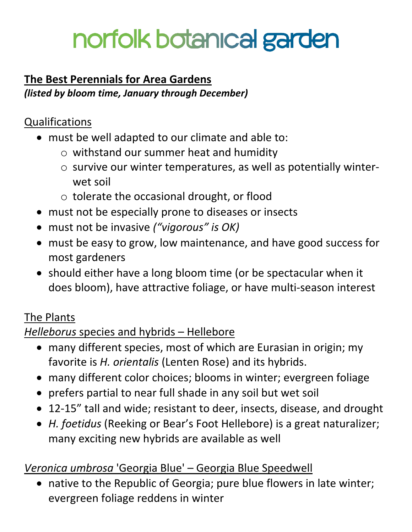# norfolk botanıcal garden

# **The Best Perennials for Area Gardens**

*(listed by bloom time, January through December)*

# **Qualifications**

- must be well adapted to our climate and able to:
	- o withstand our summer heat and humidity
	- o survive our winter temperatures, as well as potentially winterwet soil
	- o tolerate the occasional drought, or flood
- must not be especially prone to diseases or insects
- must not be invasive *("vigorous" is OK)*
- must be easy to grow, low maintenance, and have good success for most gardeners
- should either have a long bloom time (or be spectacular when it does bloom), have attractive foliage, or have multi-season interest

# The Plants

# *Helleborus* species and hybrids – Hellebore

- many different species, most of which are Eurasian in origin; my favorite is *H. orientalis* (Lenten Rose) and its hybrids.
- many different color choices; blooms in winter; evergreen foliage
- prefers partial to near full shade in any soil but wet soil
- 12-15" tall and wide; resistant to deer, insects, disease, and drought
- *H. foetidus* (Reeking or Bear's Foot Hellebore) is a great naturalizer; many exciting new hybrids are available as well

# *Veronica umbrosa* 'Georgia Blue' – Georgia Blue Speedwell

 native to the Republic of Georgia; pure blue flowers in late winter; evergreen foliage reddens in winter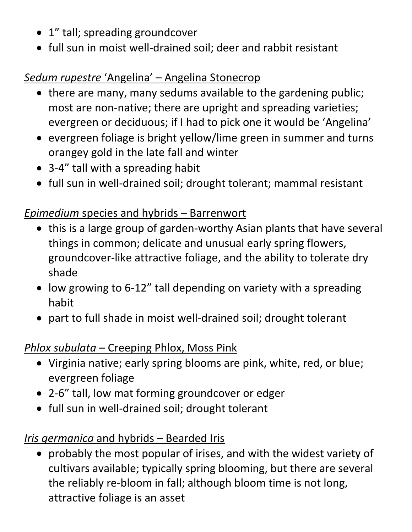- 1" tall; spreading groundcover
- full sun in moist well-drained soil; deer and rabbit resistant

# *Sedum rupestre* 'Angelina' – Angelina Stonecrop

- there are many, many sedums available to the gardening public; most are non-native; there are upright and spreading varieties; evergreen or deciduous; if I had to pick one it would be 'Angelina'
- evergreen foliage is bright yellow/lime green in summer and turns orangey gold in the late fall and winter
- 3-4" tall with a spreading habit
- full sun in well-drained soil; drought tolerant; mammal resistant

## *Epimedium* species and hybrids – Barrenwort

- this is a large group of garden-worthy Asian plants that have several things in common; delicate and unusual early spring flowers, groundcover-like attractive foliage, and the ability to tolerate dry shade
- low growing to 6-12" tall depending on variety with a spreading habit
- part to full shade in moist well-drained soil; drought tolerant

#### *Phlox subulata* – Creeping Phlox, Moss Pink

- Virginia native; early spring blooms are pink, white, red, or blue; evergreen foliage
- 2-6" tall, low mat forming groundcover or edger
- full sun in well-drained soil; drought tolerant

# *Iris germanica* and hybrids – Bearded Iris

 probably the most popular of irises, and with the widest variety of cultivars available; typically spring blooming, but there are several the reliably re-bloom in fall; although bloom time is not long, attractive foliage is an asset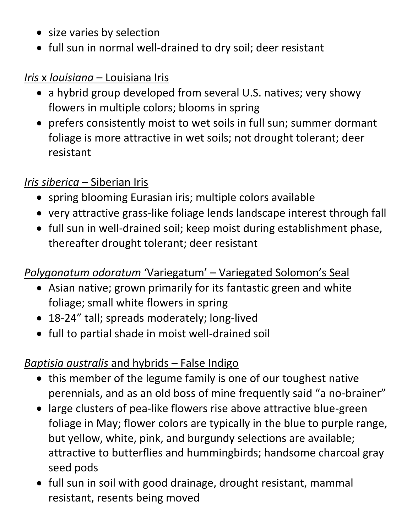- size varies by selection
- full sun in normal well-drained to dry soil; deer resistant

#### *Iris* x *louisiana* – Louisiana Iris

- a hybrid group developed from several U.S. natives; very showy flowers in multiple colors; blooms in spring
- prefers consistently moist to wet soils in full sun; summer dormant foliage is more attractive in wet soils; not drought tolerant; deer resistant

#### *Iris siberica* – Siberian Iris

- spring blooming Eurasian iris; multiple colors available
- very attractive grass-like foliage lends landscape interest through fall
- full sun in well-drained soil; keep moist during establishment phase, thereafter drought tolerant; deer resistant

#### *Polygonatum odoratum* 'Variegatum' – Variegated Solomon's Seal

- Asian native; grown primarily for its fantastic green and white foliage; small white flowers in spring
- 18-24" tall; spreads moderately; long-lived
- full to partial shade in moist well-drained soil

#### *Baptisia australis* and hybrids – False Indigo

- this member of the legume family is one of our toughest native perennials, and as an old boss of mine frequently said "a no-brainer"
- large clusters of pea-like flowers rise above attractive blue-green foliage in May; flower colors are typically in the blue to purple range, but yellow, white, pink, and burgundy selections are available; attractive to butterflies and hummingbirds; handsome charcoal gray seed pods
- full sun in soil with good drainage, drought resistant, mammal resistant, resents being moved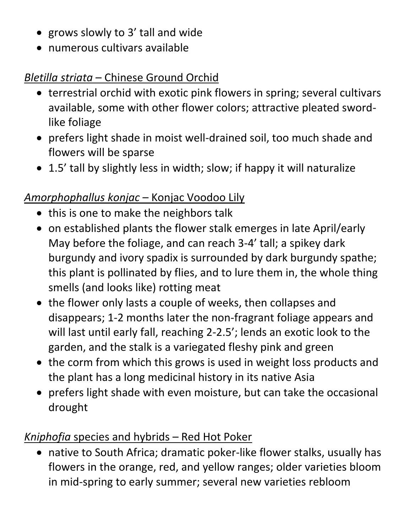- grows slowly to 3' tall and wide
- numerous cultivars available

# *Bletilla striata* – Chinese Ground Orchid

- terrestrial orchid with exotic pink flowers in spring; several cultivars available, some with other flower colors; attractive pleated swordlike foliage
- prefers light shade in moist well-drained soil, too much shade and flowers will be sparse
- 1.5' tall by slightly less in width; slow; if happy it will naturalize

## *Amorphophallus konjac* – Konjac Voodoo Lily

- this is one to make the neighbors talk
- on established plants the flower stalk emerges in late April/early May before the foliage, and can reach 3-4' tall; a spikey dark burgundy and ivory spadix is surrounded by dark burgundy spathe; this plant is pollinated by flies, and to lure them in, the whole thing smells (and looks like) rotting meat
- the flower only lasts a couple of weeks, then collapses and disappears; 1-2 months later the non-fragrant foliage appears and will last until early fall, reaching 2-2.5'; lends an exotic look to the garden, and the stalk is a variegated fleshy pink and green
- the corm from which this grows is used in weight loss products and the plant has a long medicinal history in its native Asia
- prefers light shade with even moisture, but can take the occasional drought

#### *Kniphofia* species and hybrids – Red Hot Poker

 native to South Africa; dramatic poker-like flower stalks, usually has flowers in the orange, red, and yellow ranges; older varieties bloom in mid-spring to early summer; several new varieties rebloom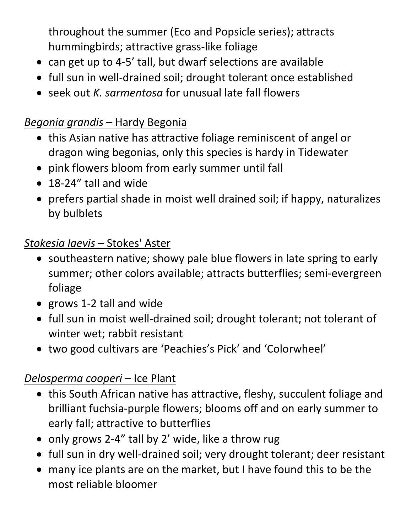throughout the summer (Eco and Popsicle series); attracts hummingbirds; attractive grass-like foliage

- can get up to 4-5' tall, but dwarf selections are available
- full sun in well-drained soil; drought tolerant once established
- seek out *K. sarmentosa* for unusual late fall flowers

## *Begonia grandis* – Hardy Begonia

- this Asian native has attractive foliage reminiscent of angel or dragon wing begonias, only this species is hardy in Tidewater
- pink flowers bloom from early summer until fall
- 18-24" tall and wide
- prefers partial shade in moist well drained soil; if happy, naturalizes by bulblets

#### *Stokesia laevis* – Stokes' Aster

- southeastern native; showy pale blue flowers in late spring to early summer; other colors available; attracts butterflies; semi-evergreen foliage
- grows 1-2 tall and wide
- full sun in moist well-drained soil; drought tolerant; not tolerant of winter wet; rabbit resistant
- two good cultivars are 'Peachies's Pick' and 'Colorwheel'

# *Delosperma cooperi* – Ice Plant

- this South African native has attractive, fleshy, succulent foliage and brilliant fuchsia-purple flowers; blooms off and on early summer to early fall; attractive to butterflies
- only grows 2-4" tall by 2' wide, like a throw rug
- full sun in dry well-drained soil; very drought tolerant; deer resistant
- many ice plants are on the market, but I have found this to be the most reliable bloomer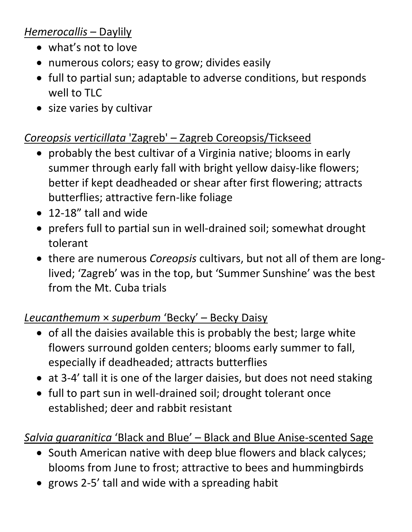#### *Hemerocallis* – Daylily

- what's not to love
- numerous colors; easy to grow; divides easily
- full to partial sun; adaptable to adverse conditions, but responds well to TLC
- size varies by cultivar

## *Coreopsis verticillata* 'Zagreb' – Zagreb Coreopsis/Tickseed

- probably the best cultivar of a Virginia native; blooms in early summer through early fall with bright yellow daisy-like flowers; better if kept deadheaded or shear after first flowering; attracts butterflies; attractive fern-like foliage
- 12-18" tall and wide
- prefers full to partial sun in well-drained soil; somewhat drought tolerant
- there are numerous *Coreopsis* cultivars, but not all of them are longlived; 'Zagreb' was in the top, but 'Summer Sunshine' was the best from the Mt. Cuba trials

# *Leucanthemum* × *superbum* 'Becky' – Becky Daisy

- $\bullet$  of all the daisies available this is probably the best; large white flowers surround golden centers; blooms early summer to fall, especially if deadheaded; attracts butterflies
- at 3-4' tall it is one of the larger daisies, but does not need staking
- full to part sun in well-drained soil; drought tolerant once established; deer and rabbit resistant

# *Salvia guaranitica* 'Black and Blue' – Black and Blue Anise-scented Sage

- South American native with deep blue flowers and black calyces; blooms from June to frost; attractive to bees and hummingbirds
- grows 2-5' tall and wide with a spreading habit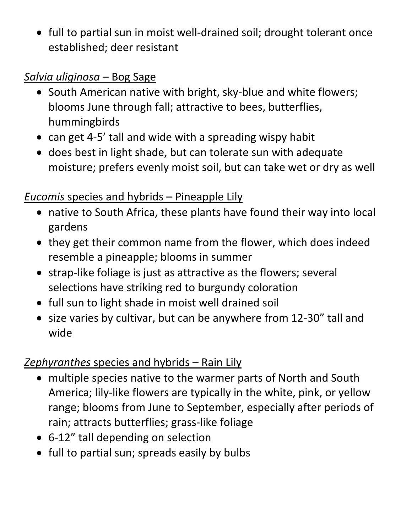• full to partial sun in moist well-drained soil; drought tolerant once established; deer resistant

#### *Salvia uliginosa* – Bog Sage

- South American native with bright, sky-blue and white flowers; blooms June through fall; attractive to bees, butterflies, hummingbirds
- can get 4-5' tall and wide with a spreading wispy habit
- does best in light shade, but can tolerate sun with adequate moisture; prefers evenly moist soil, but can take wet or dry as well

# *Eucomis* species and hybrids – Pineapple Lily

- native to South Africa, these plants have found their way into local gardens
- they get their common name from the flower, which does indeed resemble a pineapple; blooms in summer
- strap-like foliage is just as attractive as the flowers; several selections have striking red to burgundy coloration
- full sun to light shade in moist well drained soil
- size varies by cultivar, but can be anywhere from 12-30" tall and wide

# *Zephyranthes* species and hybrids – Rain Lily

- multiple species native to the warmer parts of North and South America; lily-like flowers are typically in the white, pink, or yellow range; blooms from June to September, especially after periods of rain; attracts butterflies; grass-like foliage
- 6-12" tall depending on selection
- full to partial sun; spreads easily by bulbs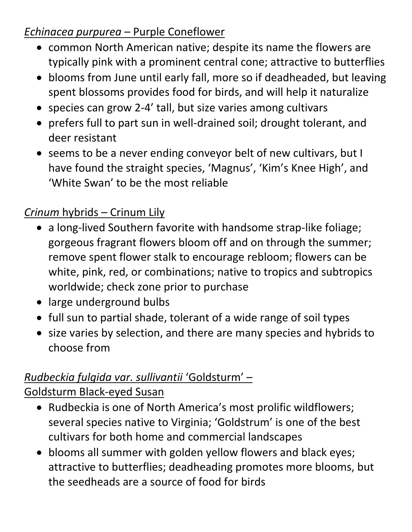#### *Echinacea purpurea* – Purple Coneflower

- common North American native; despite its name the flowers are typically pink with a prominent central cone; attractive to butterflies
- blooms from June until early fall, more so if deadheaded, but leaving spent blossoms provides food for birds, and will help it naturalize
- species can grow 2-4' tall, but size varies among cultivars
- prefers full to part sun in well-drained soil; drought tolerant, and deer resistant
- seems to be a never ending conveyor belt of new cultivars, but I have found the straight species, 'Magnus', 'Kim's Knee High', and 'White Swan' to be the most reliable

# *Crinum* hybrids – Crinum Lily

- a long-lived Southern favorite with handsome strap-like foliage; gorgeous fragrant flowers bloom off and on through the summer; remove spent flower stalk to encourage rebloom; flowers can be white, pink, red, or combinations; native to tropics and subtropics worldwide; check zone prior to purchase
- large underground bulbs
- full sun to partial shade, tolerant of a wide range of soil types
- size varies by selection, and there are many species and hybrids to choose from

# *Rudbeckia fulgida var. sullivantii* 'Goldsturm' –

Goldsturm Black-eyed Susan

- Rudbeckia is one of North America's most prolific wildflowers; several species native to Virginia; 'Goldstrum' is one of the best cultivars for both home and commercial landscapes
- blooms all summer with golden yellow flowers and black eyes; attractive to butterflies; deadheading promotes more blooms, but the seedheads are a source of food for birds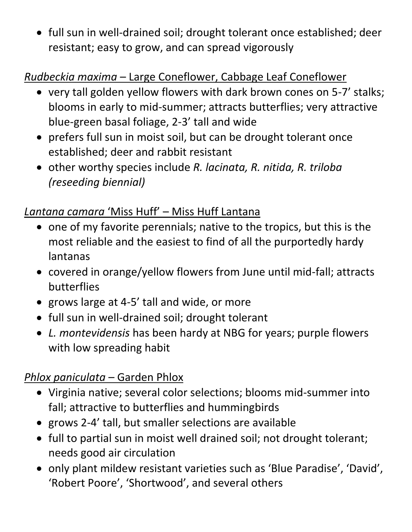• full sun in well-drained soil; drought tolerant once established; deer resistant; easy to grow, and can spread vigorously

# *Rudbeckia maxima* – Large Coneflower, Cabbage Leaf Coneflower

- very tall golden yellow flowers with dark brown cones on 5-7' stalks; blooms in early to mid-summer; attracts butterflies; very attractive blue-green basal foliage, 2-3' tall and wide
- prefers full sun in moist soil, but can be drought tolerant once established; deer and rabbit resistant
- other worthy species include *R. lacinata, R. nitida, R. triloba (reseeding biennial)*

# *Lantana camara* 'Miss Huff' – Miss Huff Lantana

- one of my favorite perennials; native to the tropics, but this is the most reliable and the easiest to find of all the purportedly hardy lantanas
- covered in orange/yellow flowers from June until mid-fall; attracts butterflies
- grows large at 4-5' tall and wide, or more
- full sun in well-drained soil; drought tolerant
- *L. montevidensis* has been hardy at NBG for years; purple flowers with low spreading habit

# *Phlox paniculata* – Garden Phlox

- Virginia native; several color selections; blooms mid-summer into fall; attractive to butterflies and hummingbirds
- grows 2-4' tall, but smaller selections are available
- full to partial sun in moist well drained soil; not drought tolerant; needs good air circulation
- only plant mildew resistant varieties such as 'Blue Paradise', 'David', 'Robert Poore', 'Shortwood', and several others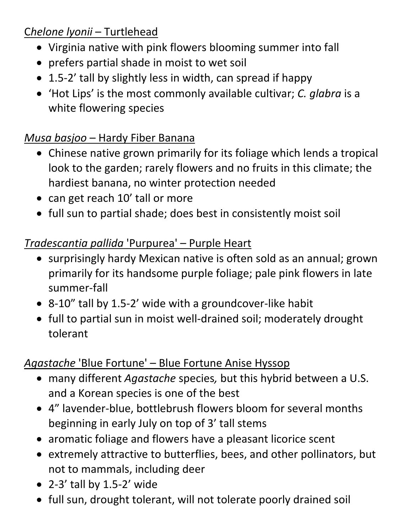# C*helone lyonii* – Turtlehead

- Virginia native with pink flowers blooming summer into fall
- prefers partial shade in moist to wet soil
- 1.5-2' tall by slightly less in width, can spread if happy
- 'Hot Lips' is the most commonly available cultivar; *C. glabra* is a white flowering species

# *Musa basjoo* – Hardy Fiber Banana

- Chinese native grown primarily for its foliage which lends a tropical look to the garden; rarely flowers and no fruits in this climate; the hardiest banana, no winter protection needed
- can get reach 10' tall or more
- full sun to partial shade; does best in consistently moist soil

# *Tradescantia pallida* 'Purpurea' – Purple Heart

- surprisingly hardy Mexican native is often sold as an annual; grown primarily for its handsome purple foliage; pale pink flowers in late summer-fall
- 8-10" tall by 1.5-2' wide with a groundcover-like habit
- full to partial sun in moist well-drained soil; moderately drought tolerant

# *Agastache* 'Blue Fortune' – Blue Fortune Anise Hyssop

- many different *Agastache* species*,* but this hybrid between a U.S. and a Korean species is one of the best
- 4" lavender-blue, bottlebrush flowers bloom for several months beginning in early July on top of 3' tall stems
- aromatic foliage and flowers have a pleasant licorice scent
- extremely attractive to butterflies, bees, and other pollinators, but not to mammals, including deer
- $\bullet$  2-3' tall by 1.5-2' wide
- full sun, drought tolerant, will not tolerate poorly drained soil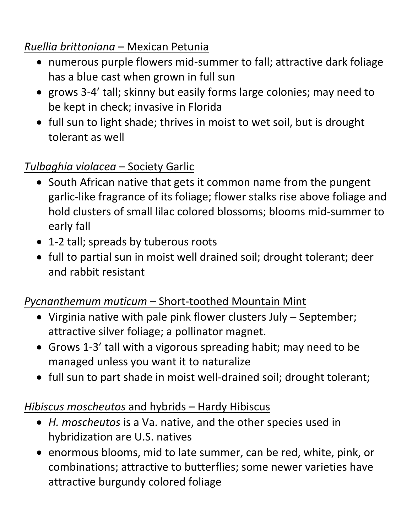# *Ruellia brittoniana* – Mexican Petunia

- numerous purple flowers mid-summer to fall; attractive dark foliage has a blue cast when grown in full sun
- grows 3-4' tall; skinny but easily forms large colonies; may need to be kept in check; invasive in Florida
- full sun to light shade; thrives in moist to wet soil, but is drought tolerant as well

# *Tulbaghia violacea* – Society Garlic

- South African native that gets it common name from the pungent garlic-like fragrance of its foliage; flower stalks rise above foliage and hold clusters of small lilac colored blossoms; blooms mid-summer to early fall
- 1-2 tall; spreads by tuberous roots
- full to partial sun in moist well drained soil; drought tolerant; deer and rabbit resistant

# *Pycnanthemum muticum* – Short-toothed Mountain Mint

- Virginia native with pale pink flower clusters July September; attractive silver foliage; a pollinator magnet.
- Grows 1-3' tall with a vigorous spreading habit; may need to be managed unless you want it to naturalize
- full sun to part shade in moist well-drained soil; drought tolerant;

# *Hibiscus moscheutos* and hybrids – Hardy Hibiscus

- *H. moscheutos* is a Va. native, and the other species used in hybridization are U.S. natives
- enormous blooms, mid to late summer, can be red, white, pink, or combinations; attractive to butterflies; some newer varieties have attractive burgundy colored foliage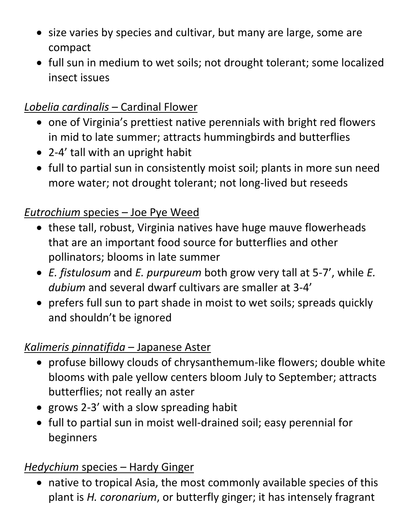- size varies by species and cultivar, but many are large, some are compact
- full sun in medium to wet soils; not drought tolerant; some localized insect issues

# *Lobelia cardinalis* – Cardinal Flower

- one of Virginia's prettiest native perennials with bright red flowers in mid to late summer; attracts hummingbirds and butterflies
- 2-4' tall with an upright habit
- full to partial sun in consistently moist soil; plants in more sun need more water; not drought tolerant; not long-lived but reseeds

# *Eutrochium* species – Joe Pye Weed

- these tall, robust, Virginia natives have huge mauve flowerheads that are an important food source for butterflies and other pollinators; blooms in late summer
- *E. fistulosum* and *E. purpureum* both grow very tall at 5-7', while *E. dubium* and several dwarf cultivars are smaller at 3-4'
- prefers full sun to part shade in moist to wet soils; spreads quickly and shouldn't be ignored

# *Kalimeris pinnatifida* – Japanese Aster

- profuse billowy clouds of chrysanthemum-like flowers; double white blooms with pale yellow centers bloom July to September; attracts butterflies; not really an aster
- grows 2-3' with a slow spreading habit
- full to partial sun in moist well-drained soil; easy perennial for beginners

# *Hedychium* species – Hardy Ginger

 native to tropical Asia, the most commonly available species of this plant is *H. coronarium*, or butterfly ginger; it has intensely fragrant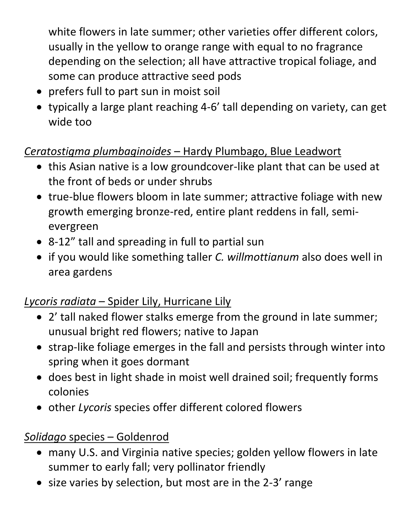white flowers in late summer; other varieties offer different colors, usually in the yellow to orange range with equal to no fragrance depending on the selection; all have attractive tropical foliage, and some can produce attractive seed pods

- prefers full to part sun in moist soil
- typically a large plant reaching 4-6' tall depending on variety, can get wide too

## *Ceratostigma plumbaginoides* – Hardy Plumbago, Blue Leadwort

- this Asian native is a low groundcover-like plant that can be used at the front of beds or under shrubs
- true-blue flowers bloom in late summer; attractive foliage with new growth emerging bronze-red, entire plant reddens in fall, semievergreen
- 8-12" tall and spreading in full to partial sun
- if you would like something taller *C. willmottianum* also does well in area gardens

# *Lycoris radiata* – Spider Lily, Hurricane Lily

- 2' tall naked flower stalks emerge from the ground in late summer; unusual bright red flowers; native to Japan
- strap-like foliage emerges in the fall and persists through winter into spring when it goes dormant
- does best in light shade in moist well drained soil; frequently forms colonies
- other *Lycoris* species offer different colored flowers

#### *Solidago* species – Goldenrod

- many U.S. and Virginia native species; golden yellow flowers in late summer to early fall; very pollinator friendly
- size varies by selection, but most are in the 2-3' range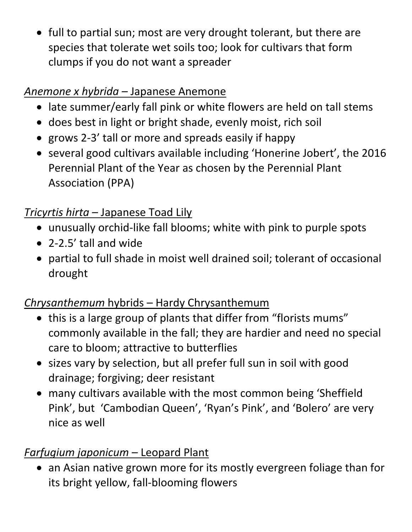• full to partial sun; most are very drought tolerant, but there are species that tolerate wet soils too; look for cultivars that form clumps if you do not want a spreader

# *Anemone x hybrida* – Japanese Anemone

- late summer/early fall pink or white flowers are held on tall stems
- does best in light or bright shade, evenly moist, rich soil
- grows 2-3' tall or more and spreads easily if happy
- several good cultivars available including 'Honerine Jobert', the 2016 Perennial Plant of the Year as chosen by the Perennial Plant Association (PPA)

# *Tricyrtis hirta* – Japanese Toad Lily

- unusually orchid-like fall blooms; white with pink to purple spots
- 2-2.5' tall and wide
- partial to full shade in moist well drained soil; tolerant of occasional drought

# *Chrysanthemum* hybrids – Hardy Chrysanthemum

- this is a large group of plants that differ from "florists mums" commonly available in the fall; they are hardier and need no special care to bloom; attractive to butterflies
- sizes vary by selection, but all prefer full sun in soil with good drainage; forgiving; deer resistant
- many cultivars available with the most common being 'Sheffield Pink', but 'Cambodian Queen', 'Ryan's Pink', and 'Bolero' are very nice as well

# *Farfugium japonicum* – Leopard Plant

• an Asian native grown more for its mostly evergreen foliage than for its bright yellow, fall-blooming flowers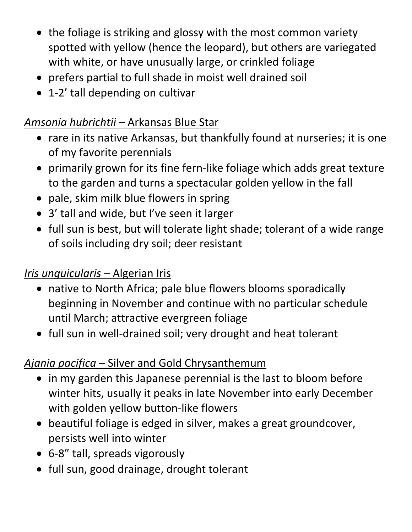- the foliage is striking and glossy with the most common variety spotted with yellow (hence the leopard), but others are variegated with white, or have unusually large, or crinkled foliage
- prefers partial to full shade in moist well drained soil
- 1-2' tall depending on cultivar

## *Amsonia hubrichtii* – Arkansas Blue Star

- rare in its native Arkansas, but thankfully found at nurseries; it is one of my favorite perennials
- primarily grown for its fine fern-like foliage which adds great texture to the garden and turns a spectacular golden yellow in the fall
- pale, skim milk blue flowers in spring
- 3' tall and wide, but I've seen it larger
- full sun is best, but will tolerate light shade; tolerant of a wide range of soils including dry soil; deer resistant

#### *Iris unguicularis* – Algerian Iris

- native to North Africa; pale blue flowers blooms sporadically beginning in November and continue with no particular schedule until March; attractive evergreen foliage
- full sun in well-drained soil; very drought and heat tolerant

# *Ajania pacifica* – Silver and Gold Chrysanthemum

- in my garden this Japanese perennial is the last to bloom before winter hits, usually it peaks in late November into early December with golden yellow button-like flowers
- beautiful foliage is edged in silver, makes a great groundcover, persists well into winter
- 6-8" tall, spreads vigorously
- full sun, good drainage, drought tolerant